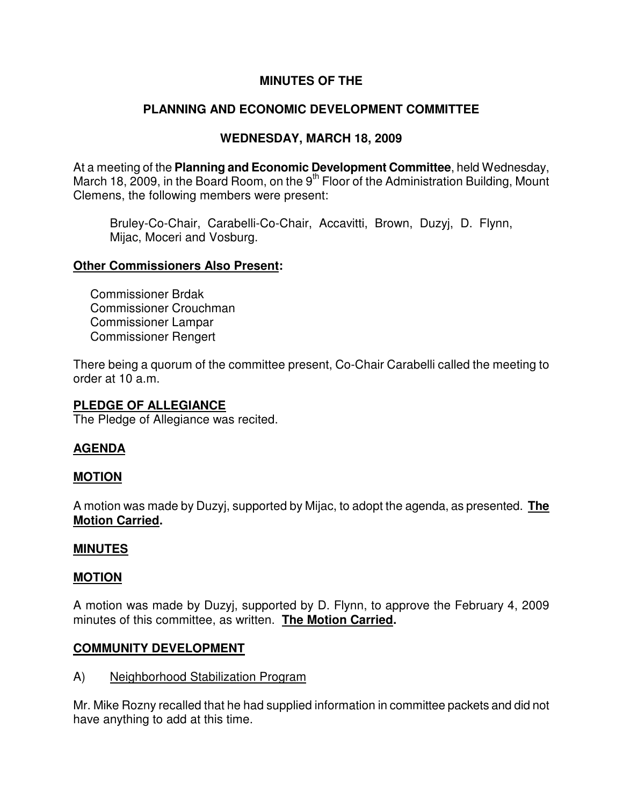## **MINUTES OF THE**

# **PLANNING AND ECONOMIC DEVELOPMENT COMMITTEE**

## **WEDNESDAY, MARCH 18, 2009**

At a meeting of the **Planning and Economic Development Committee**, held Wednesday, March 18, 2009, in the Board Room, on the 9<sup>th</sup> Floor of the Administration Building, Mount Clemens, the following members were present:

Bruley-Co-Chair, Carabelli-Co-Chair, Accavitti, Brown, Duzyj, D. Flynn, Mijac, Moceri and Vosburg.

## **Other Commissioners Also Present:**

Commissioner Brdak Commissioner Crouchman Commissioner Lampar Commissioner Rengert

There being a quorum of the committee present, Co-Chair Carabelli called the meeting to order at 10 a.m.

## **PLEDGE OF ALLEGIANCE**

The Pledge of Allegiance was recited.

## **AGENDA**

## **MOTION**

A motion was made by Duzyj, supported by Mijac, to adopt the agenda, as presented. **The Motion Carried.** 

## **MINUTES**

#### **MOTION**

A motion was made by Duzyj, supported by D. Flynn, to approve the February 4, 2009 minutes of this committee, as written. **The Motion Carried.** 

## **COMMUNITY DEVELOPMENT**

A) Neighborhood Stabilization Program

Mr. Mike Rozny recalled that he had supplied information in committee packets and did not have anything to add at this time.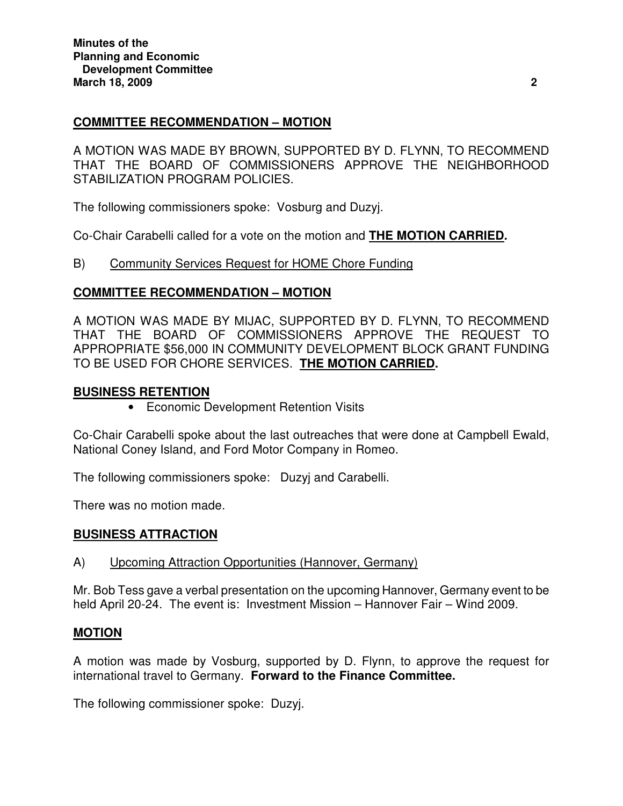## **COMMITTEE RECOMMENDATION – MOTION**

A MOTION WAS MADE BY BROWN, SUPPORTED BY D. FLYNN, TO RECOMMEND THAT THE BOARD OF COMMISSIONERS APPROVE THE NEIGHBORHOOD STABILIZATION PROGRAM POLICIES.

The following commissioners spoke: Vosburg and Duzyj.

Co-Chair Carabelli called for a vote on the motion and **THE MOTION CARRIED.**

B) Community Services Request for HOME Chore Funding

## **COMMITTEE RECOMMENDATION – MOTION**

A MOTION WAS MADE BY MIJAC, SUPPORTED BY D. FLYNN, TO RECOMMEND THAT THE BOARD OF COMMISSIONERS APPROVE THE REQUEST TO APPROPRIATE \$56,000 IN COMMUNITY DEVELOPMENT BLOCK GRANT FUNDING TO BE USED FOR CHORE SERVICES. **THE MOTION CARRIED.** 

## **BUSINESS RETENTION**

• Economic Development Retention Visits

Co-Chair Carabelli spoke about the last outreaches that were done at Campbell Ewald, National Coney Island, and Ford Motor Company in Romeo.

The following commissioners spoke: Duzyj and Carabelli.

There was no motion made.

## **BUSINESS ATTRACTION**

## A) Upcoming Attraction Opportunities (Hannover, Germany)

Mr. Bob Tess gave a verbal presentation on the upcoming Hannover, Germany event to be held April 20-24. The event is: Investment Mission – Hannover Fair – Wind 2009.

## **MOTION**

A motion was made by Vosburg, supported by D. Flynn, to approve the request for international travel to Germany. **Forward to the Finance Committee.** 

The following commissioner spoke: Duzyj.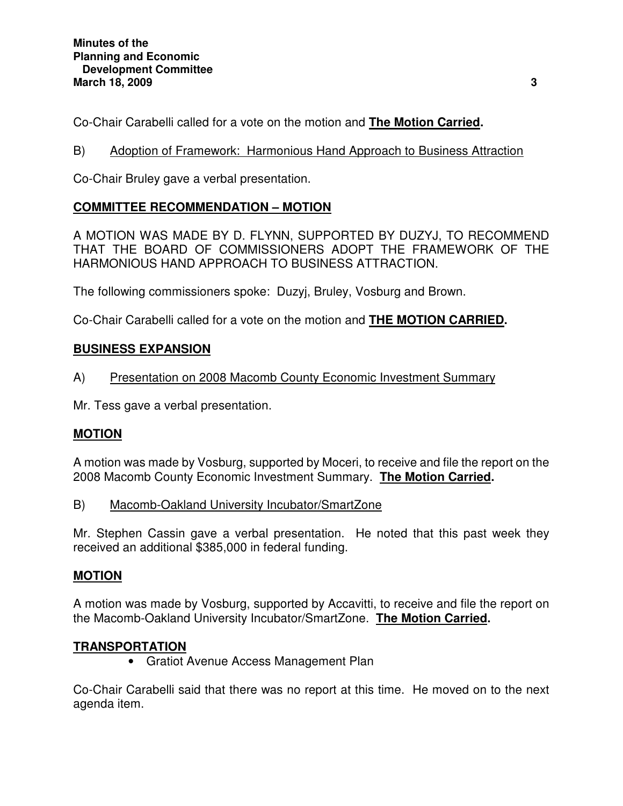Co-Chair Carabelli called for a vote on the motion and **The Motion Carried.**

B) Adoption of Framework: Harmonious Hand Approach to Business Attraction

Co-Chair Bruley gave a verbal presentation.

## **COMMITTEE RECOMMENDATION – MOTION**

A MOTION WAS MADE BY D. FLYNN, SUPPORTED BY DUZYJ, TO RECOMMEND THAT THE BOARD OF COMMISSIONERS ADOPT THE FRAMEWORK OF THE HARMONIOUS HAND APPROACH TO BUSINESS ATTRACTION.

The following commissioners spoke: Duzyj, Bruley, Vosburg and Brown.

Co-Chair Carabelli called for a vote on the motion and **THE MOTION CARRIED.** 

## **BUSINESS EXPANSION**

A) Presentation on 2008 Macomb County Economic Investment Summary

Mr. Tess gave a verbal presentation.

## **MOTION**

A motion was made by Vosburg, supported by Moceri, to receive and file the report on the 2008 Macomb County Economic Investment Summary. **The Motion Carried.** 

B) Macomb-Oakland University Incubator/SmartZone

Mr. Stephen Cassin gave a verbal presentation. He noted that this past week they received an additional \$385,000 in federal funding.

## **MOTION**

A motion was made by Vosburg, supported by Accavitti, to receive and file the report on the Macomb-Oakland University Incubator/SmartZone. **The Motion Carried.** 

## **TRANSPORTATION**

• Gratiot Avenue Access Management Plan

Co-Chair Carabelli said that there was no report at this time. He moved on to the next agenda item.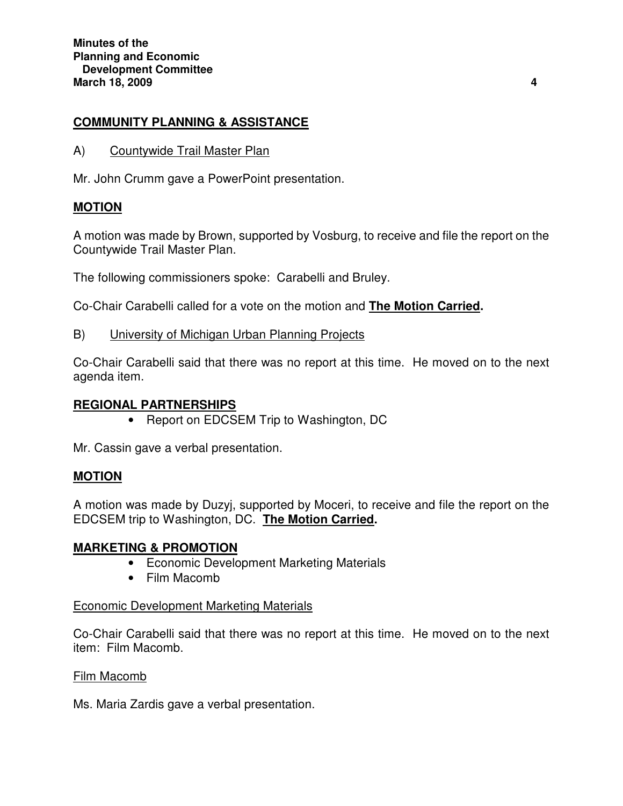## **COMMUNITY PLANNING & ASSISTANCE**

A) Countywide Trail Master Plan

Mr. John Crumm gave a PowerPoint presentation.

## **MOTION**

A motion was made by Brown, supported by Vosburg, to receive and file the report on the Countywide Trail Master Plan.

The following commissioners spoke: Carabelli and Bruley.

Co-Chair Carabelli called for a vote on the motion and **The Motion Carried.** 

B) University of Michigan Urban Planning Projects

Co-Chair Carabelli said that there was no report at this time. He moved on to the next agenda item.

#### **REGIONAL PARTNERSHIPS**

• Report on EDCSEM Trip to Washington, DC

Mr. Cassin gave a verbal presentation.

## **MOTION**

A motion was made by Duzyj, supported by Moceri, to receive and file the report on the EDCSEM trip to Washington, DC. **The Motion Carried.** 

#### **MARKETING & PROMOTION**

- Economic Development Marketing Materials
- Film Macomb

#### Economic Development Marketing Materials

Co-Chair Carabelli said that there was no report at this time. He moved on to the next item: Film Macomb.

#### Film Macomb

Ms. Maria Zardis gave a verbal presentation.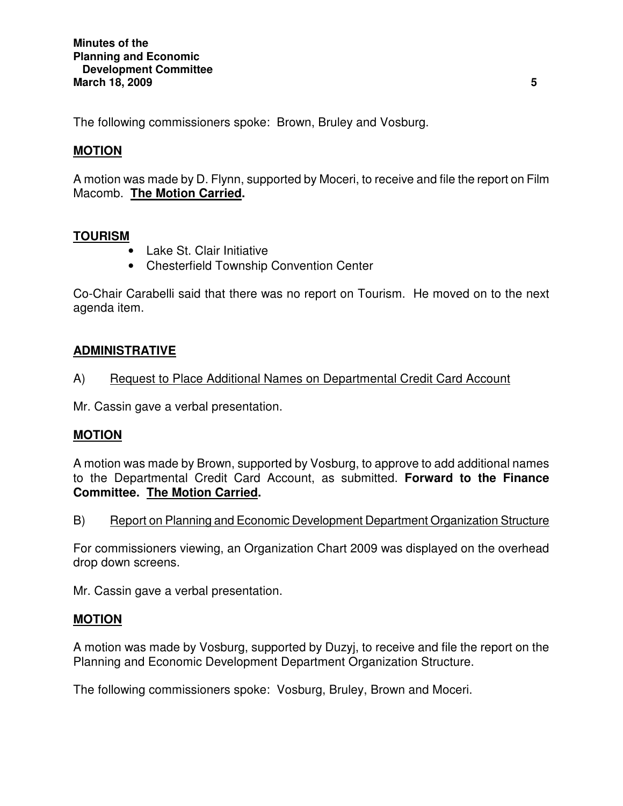The following commissioners spoke: Brown, Bruley and Vosburg.

## **MOTION**

A motion was made by D. Flynn, supported by Moceri, to receive and file the report on Film Macomb. **The Motion Carried.** 

## **TOURISM**

- Lake St. Clair Initiative
- Chesterfield Township Convention Center

Co-Chair Carabelli said that there was no report on Tourism. He moved on to the next agenda item.

## **ADMINISTRATIVE**

## A) Request to Place Additional Names on Departmental Credit Card Account

Mr. Cassin gave a verbal presentation.

## **MOTION**

A motion was made by Brown, supported by Vosburg, to approve to add additional names to the Departmental Credit Card Account, as submitted. **Forward to the Finance Committee. The Motion Carried.** 

B) Report on Planning and Economic Development Department Organization Structure

For commissioners viewing, an Organization Chart 2009 was displayed on the overhead drop down screens.

Mr. Cassin gave a verbal presentation.

#### **MOTION**

A motion was made by Vosburg, supported by Duzyj, to receive and file the report on the Planning and Economic Development Department Organization Structure.

The following commissioners spoke: Vosburg, Bruley, Brown and Moceri.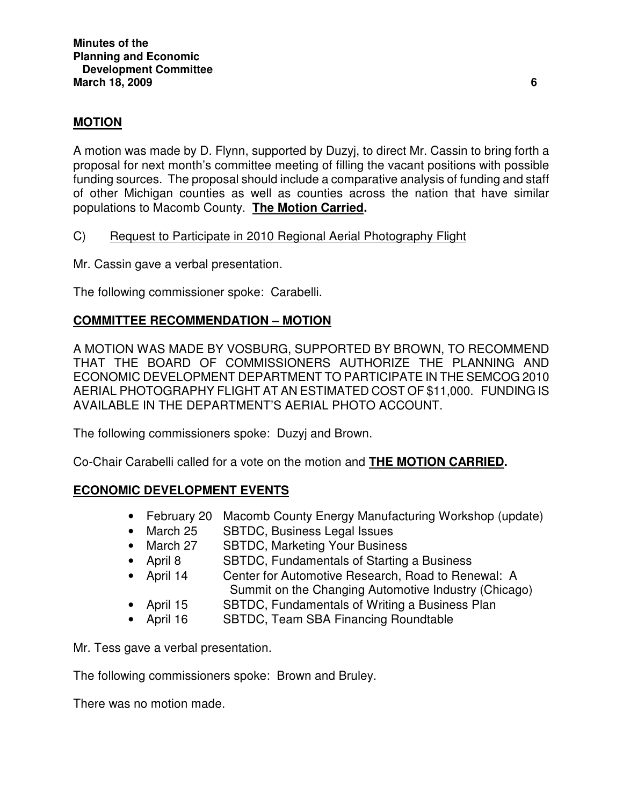## **MOTION**

A motion was made by D. Flynn, supported by Duzyj, to direct Mr. Cassin to bring forth a proposal for next month's committee meeting of filling the vacant positions with possible funding sources. The proposal should include a comparative analysis of funding and staff of other Michigan counties as well as counties across the nation that have similar populations to Macomb County. **The Motion Carried.** 

- C) Request to Participate in 2010 Regional Aerial Photography Flight
- Mr. Cassin gave a verbal presentation.

The following commissioner spoke: Carabelli.

## **COMMITTEE RECOMMENDATION – MOTION**

A MOTION WAS MADE BY VOSBURG, SUPPORTED BY BROWN, TO RECOMMEND THAT THE BOARD OF COMMISSIONERS AUTHORIZE THE PLANNING AND ECONOMIC DEVELOPMENT DEPARTMENT TO PARTICIPATE IN THE SEMCOG 2010 AERIAL PHOTOGRAPHY FLIGHT AT AN ESTIMATED COST OF \$11,000. FUNDING IS AVAILABLE IN THE DEPARTMENT'S AERIAL PHOTO ACCOUNT.

The following commissioners spoke: Duzyj and Brown.

Co-Chair Carabelli called for a vote on the motion and **THE MOTION CARRIED.** 

#### **ECONOMIC DEVELOPMENT EVENTS** ٦

- February 20 Macomb County Energy Manufacturing Workshop (update)
- March 25 SBTDC, Business Legal Issues
- March 27 SBTDC, Marketing Your Business
- April 8 SBTDC, Fundamentals of Starting a Business
- April 14 Center for Automotive Research, Road to Renewal: A Summit on the Changing Automotive Industry (Chicago)
- April 15 SBTDC, Fundamentals of Writing a Business Plan
- April 16 SBTDC, Team SBA Financing Roundtable

Mr. Tess gave a verbal presentation.

The following commissioners spoke: Brown and Bruley.

There was no motion made.